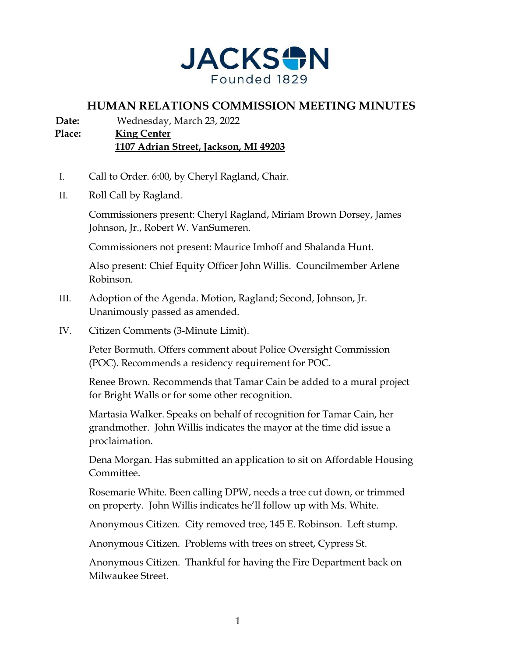

## **HUMAN RELATIONS COMMISSION MEETING MINUTES**

**Date:** Wednesday, March 23, 2022

**Place: King Center 1107 Adrian Street, Jackson, MI 49203** 

- I. Call to Order. 6:00, by Cheryl Ragland, Chair.
- II. Roll Call by Ragland.

Commissioners present: Cheryl Ragland, Miriam Brown Dorsey, James Johnson, Jr., Robert W. VanSumeren.

Commissioners not present: Maurice Imhoff and Shalanda Hunt.

Also present: Chief Equity Officer John Willis. Councilmember Arlene Robinson.

- III. Adoption of the Agenda. Motion, Ragland; Second, Johnson, Jr. Unanimously passed as amended.
- IV. Citizen Comments (3-Minute Limit).

Peter Bormuth. Offers comment about Police Oversight Commission (POC). Recommends a residency requirement for POC.

Renee Brown. Recommends that Tamar Cain be added to a mural project for Bright Walls or for some other recognition.

Martasia Walker. Speaks on behalf of recognition for Tamar Cain, her grandmother. John Willis indicates the mayor at the time did issue a proclaimation.

Dena Morgan. Has submitted an application to sit on Affordable Housing Committee.

Rosemarie White. Been calling DPW, needs a tree cut down, or trimmed on property. John Willis indicates he'll follow up with Ms. White.

Anonymous Citizen. City removed tree, 145 E. Robinson. Left stump.

Anonymous Citizen. Problems with trees on street, Cypress St.

Anonymous Citizen. Thankful for having the Fire Department back on Milwaukee Street.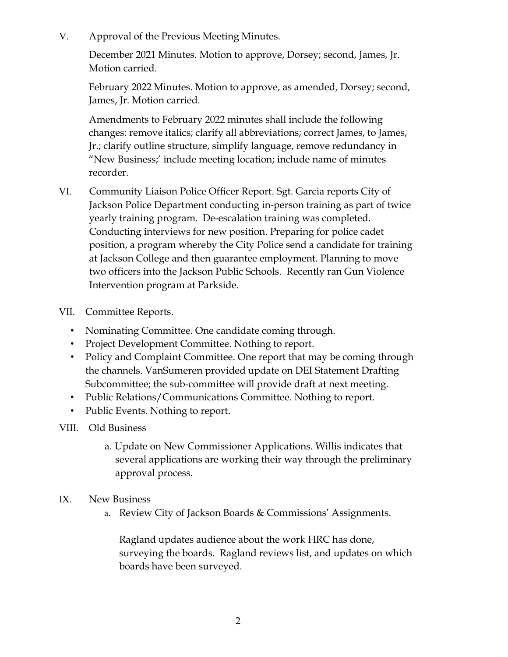V. Approval of the Previous Meeting Minutes.

December 2021 Minutes. Motion to approve, Dorsey; second, James, Jr. Motion carried.

February 2022 Minutes. Motion to approve, as amended, Dorsey; second, James, Jr. Motion carried.

Amendments to February 2022 minutes shall include the following changes: remove italics; clarify all abbreviations; correct James, to James, Jr.; clarify outline structure, simplify language, remove redundancy in "New Business;' include meeting location; include name of minutes recorder.

- VI. Community Liaison Police Officer Report. Sgt. Garcia reports City of Jackson Police Department conducting in-person training as part of twice yearly training program. De-escalation training was completed. Conducting interviews for new position. Preparing for police cadet position, a program whereby the City Police send a candidate for training at Jackson College and then guarantee employment. Planning to move two officers into the Jackson Public Schools. Recently ran Gun Violence Intervention program at Parkside.
- VII. Committee Reports.
	- Nominating Committee. One candidate coming through.
	- Project Development Committee. Nothing to report.
	- Policy and Complaint Committee. One report that may be coming through the channels. VanSumeren provided update on DEI Statement Drafting Subcommittee; the sub-committee will provide draft at next meeting.
	- Public Relations/Communications Committee. Nothing to report.
	- Public Events. Nothing to report.
- VIII. Old Business
	- a. Update on New Commissioner Applications. Willis indicates that several applications are working their way through the preliminary approval process.
- IX. New Business
	- a. Review City of Jackson Boards & Commissions' Assignments.

Ragland updates audience about the work HRC has done, surveying the boards. Ragland reviews list, and updates on which boards have been surveyed.